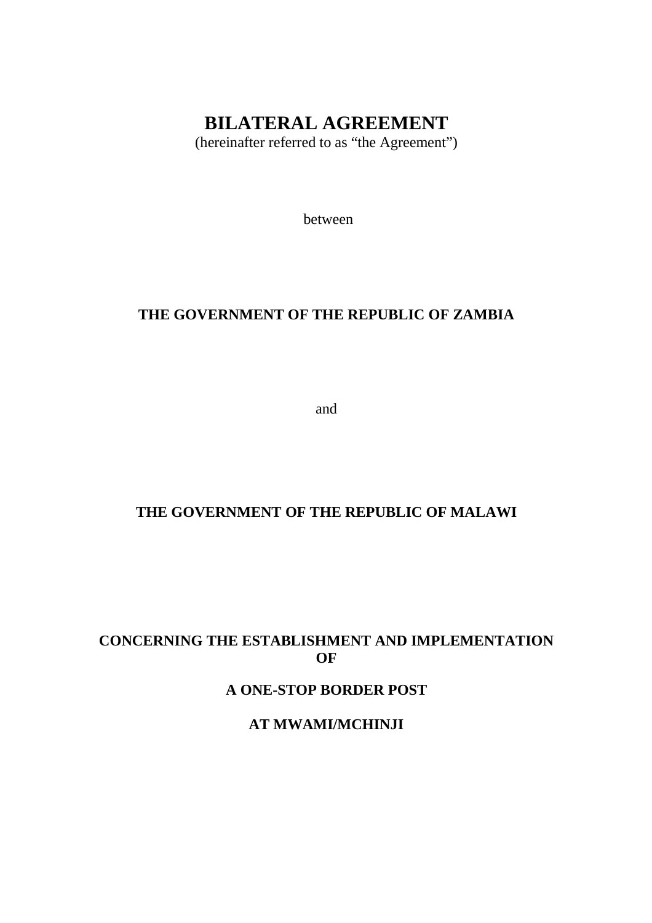# **BILATERAL AGREEMENT**

(hereinafter referred to as "the Agreement")

between

# **THE GOVERNMENT OF THE REPUBLIC OF ZAMBIA**

and

# **THE GOVERNMENT OF THE REPUBLIC OF MALAWI**

# **CONCERNING THE ESTABLISHMENT AND IMPLEMENTATION OF**

# **A ONE-STOP BORDER POST**

**AT MWAMI/MCHINJI**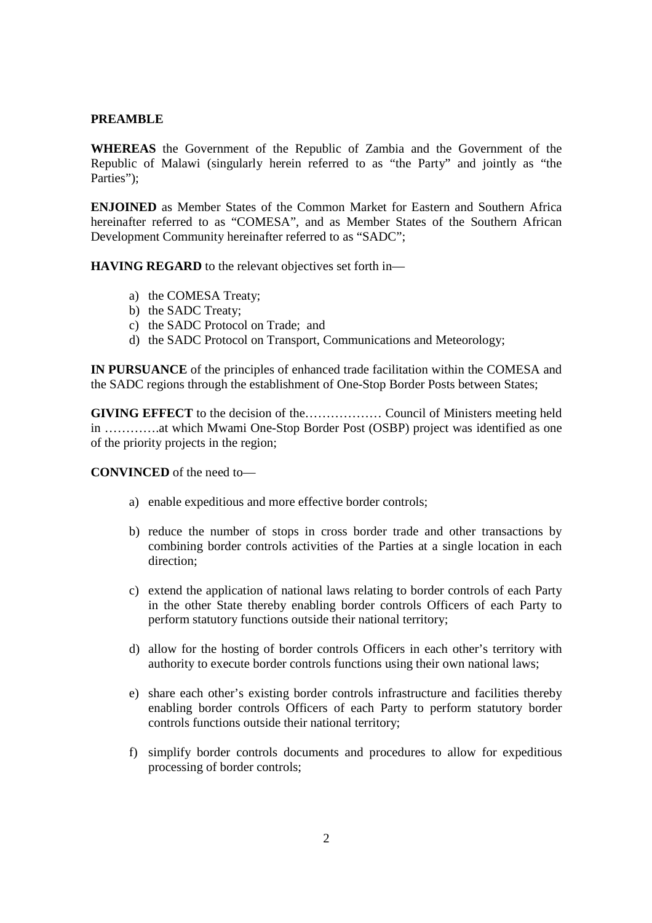#### **PREAMBLE**

**WHEREAS** the Government of the Republic of Zambia and the Government of the Republic of Malawi (singularly herein referred to as "the Party" and jointly as "the Parties");

**ENJOINED** as Member States of the Common Market for Eastern and Southern Africa hereinafter referred to as "COMESA", and as Member States of the Southern African Development Community hereinafter referred to as "SADC";

**HAVING REGARD** to the relevant objectives set forth in—

- a) the COMESA Treaty;
- b) the SADC Treaty;
- c) the SADC Protocol on Trade; and
- d) the SADC Protocol on Transport, Communications and Meteorology;

**IN PURSUANCE** of the principles of enhanced trade facilitation within the COMESA and the SADC regions through the establishment of One-Stop Border Posts between States;

**GIVING EFFECT** to the decision of the……………… Council of Ministers meeting held in ………….at which Mwami One-Stop Border Post (OSBP) project was identified as one of the priority projects in the region;

**CONVINCED** of the need to—

- a) enable expeditious and more effective border controls;
- b) reduce the number of stops in cross border trade and other transactions by combining border controls activities of the Parties at a single location in each direction;
- c) extend the application of national laws relating to border controls of each Party in the other State thereby enabling border controls Officers of each Party to perform statutory functions outside their national territory;
- d) allow for the hosting of border controls Officers in each other's territory with authority to execute border controls functions using their own national laws;
- e) share each other's existing border controls infrastructure and facilities thereby enabling border controls Officers of each Party to perform statutory border controls functions outside their national territory;
- f) simplify border controls documents and procedures to allow for expeditious processing of border controls;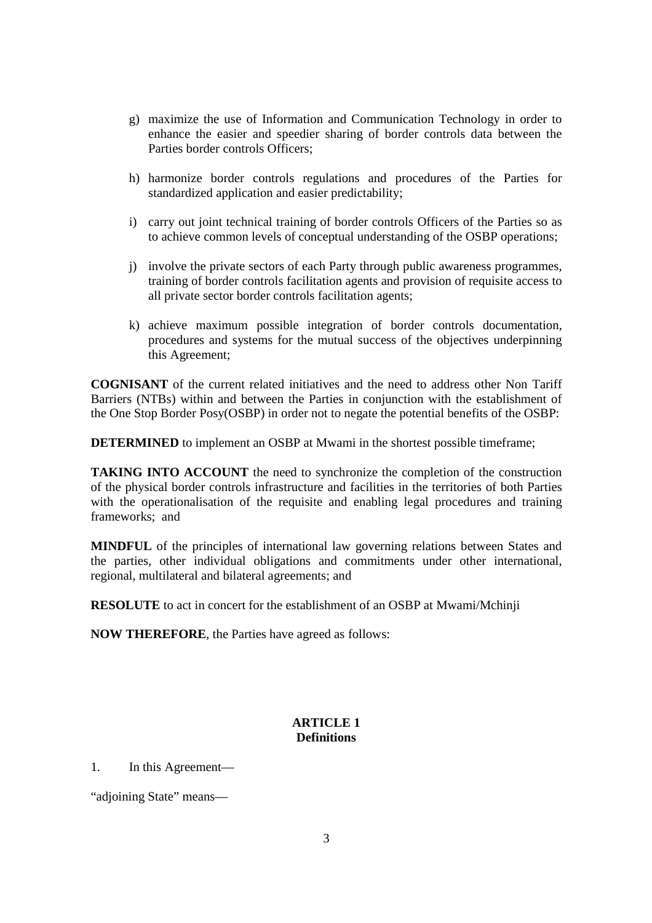- g) maximize the use of Information and Communication Technology in order to enhance the easier and speedier sharing of border controls data between the Parties border controls Officers;
- h) harmonize border controls regulations and procedures of the Parties for standardized application and easier predictability;
- i) carry out joint technical training of border controls Officers of the Parties so as to achieve common levels of conceptual understanding of the OSBP operations;
- j) involve the private sectors of each Party through public awareness programmes, training of border controls facilitation agents and provision of requisite access to all private sector border controls facilitation agents;
- k) achieve maximum possible integration of border controls documentation, procedures and systems for the mutual success of the objectives underpinning this Agreement;

**COGNISANT** of the current related initiatives and the need to address other Non Tariff Barriers (NTBs) within and between the Parties in conjunction with the establishment of the One Stop Border Posy(OSBP) in order not to negate the potential benefits of the OSBP:

**DETERMINED** to implement an OSBP at Mwami in the shortest possible timeframe;

**TAKING INTO ACCOUNT** the need to synchronize the completion of the construction of the physical border controls infrastructure and facilities in the territories of both Parties with the operationalisation of the requisite and enabling legal procedures and training frameworks; and

**MINDFUL** of the principles of international law governing relations between States and the parties, other individual obligations and commitments under other international, regional, multilateral and bilateral agreements; and

**RESOLUTE** to act in concert for the establishment of an OSBP at Mwami/Mchinji

**NOW THEREFORE**, the Parties have agreed as follows:

# **ARTICLE 1 Definitions**

1. In this Agreement—

"adjoining State" means—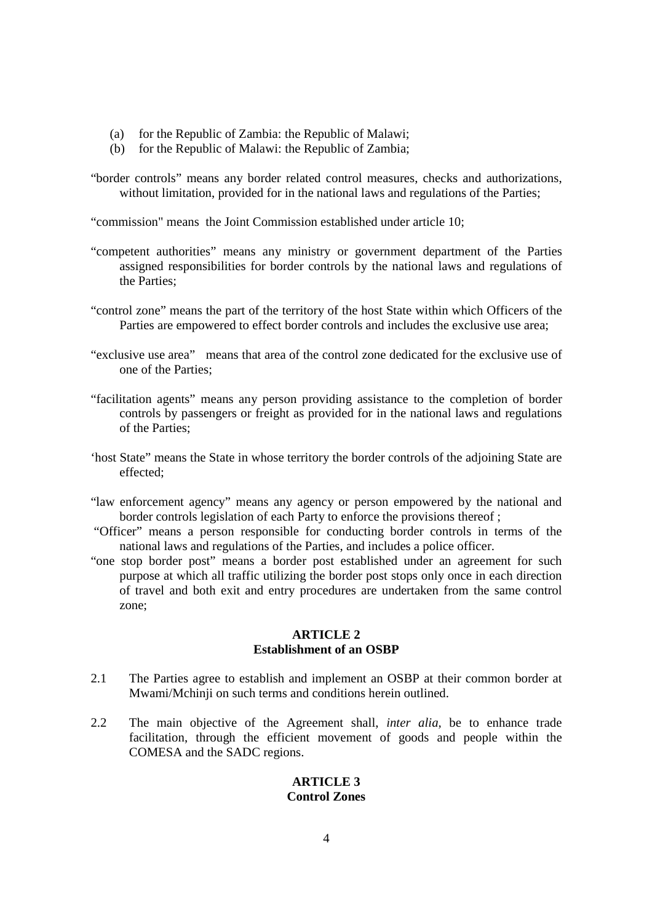- (a) for the Republic of Zambia: the Republic of Malawi;
- (b) for the Republic of Malawi: the Republic of Zambia;
- "border controls" means any border related control measures, checks and authorizations, without limitation, provided for in the national laws and regulations of the Parties;

"commission" means the Joint Commission established under article 10;

- "competent authorities" means any ministry or government department of the Parties assigned responsibilities for border controls by the national laws and regulations of the Parties;
- "control zone" means the part of the territory of the host State within which Officers of the Parties are empowered to effect border controls and includes the exclusive use area;
- "exclusive use area" means that area of the control zone dedicated for the exclusive use of one of the Parties;
- "facilitation agents" means any person providing assistance to the completion of border controls by passengers or freight as provided for in the national laws and regulations of the Parties;
- 'host State" means the State in whose territory the border controls of the adjoining State are effected;
- "law enforcement agency" means any agency or person empowered by the national and border controls legislation of each Party to enforce the provisions thereof ;
- "Officer" means a person responsible for conducting border controls in terms of the national laws and regulations of the Parties, and includes a police officer.
- "one stop border post" means a border post established under an agreement for such purpose at which all traffic utilizing the border post stops only once in each direction of travel and both exit and entry procedures are undertaken from the same control zone;

# **ARTICLE 2 Establishment of an OSBP**

- 2.1 The Parties agree to establish and implement an OSBP at their common border at Mwami/Mchinji on such terms and conditions herein outlined.
- 2.2 The main objective of the Agreement shall, *inter alia,* be to enhance trade facilitation, through the efficient movement of goods and people within the COMESA and the SADC regions.

#### **ARTICLE 3 Control Zones**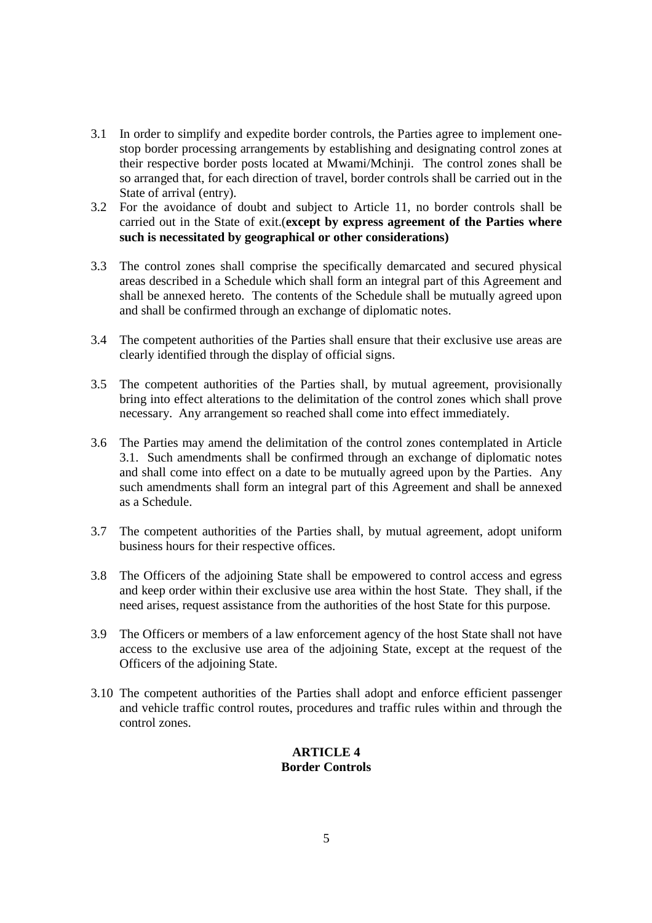- 3.1 In order to simplify and expedite border controls, the Parties agree to implement onestop border processing arrangements by establishing and designating control zones at their respective border posts located at Mwami/Mchinji. The control zones shall be so arranged that, for each direction of travel, border controls shall be carried out in the State of arrival (entry).
- 3.2 For the avoidance of doubt and subject to Article 11, no border controls shall be carried out in the State of exit.(**except by express agreement of the Parties where such is necessitated by geographical or other considerations)**
- 3.3 The control zones shall comprise the specifically demarcated and secured physical areas described in a Schedule which shall form an integral part of this Agreement and shall be annexed hereto. The contents of the Schedule shall be mutually agreed upon and shall be confirmed through an exchange of diplomatic notes.
- 3.4 The competent authorities of the Parties shall ensure that their exclusive use areas are clearly identified through the display of official signs.
- 3.5 The competent authorities of the Parties shall, by mutual agreement, provisionally bring into effect alterations to the delimitation of the control zones which shall prove necessary. Any arrangement so reached shall come into effect immediately.
- 3.6 The Parties may amend the delimitation of the control zones contemplated in Article 3.1. Such amendments shall be confirmed through an exchange of diplomatic notes and shall come into effect on a date to be mutually agreed upon by the Parties. Any such amendments shall form an integral part of this Agreement and shall be annexed as a Schedule.
- 3.7 The competent authorities of the Parties shall, by mutual agreement, adopt uniform business hours for their respective offices.
- 3.8 The Officers of the adjoining State shall be empowered to control access and egress and keep order within their exclusive use area within the host State. They shall, if the need arises, request assistance from the authorities of the host State for this purpose.
- 3.9 The Officers or members of a law enforcement agency of the host State shall not have access to the exclusive use area of the adjoining State, except at the request of the Officers of the adjoining State.
- 3.10 The competent authorities of the Parties shall adopt and enforce efficient passenger and vehicle traffic control routes, procedures and traffic rules within and through the control zones.

# **ARTICLE 4 Border Controls**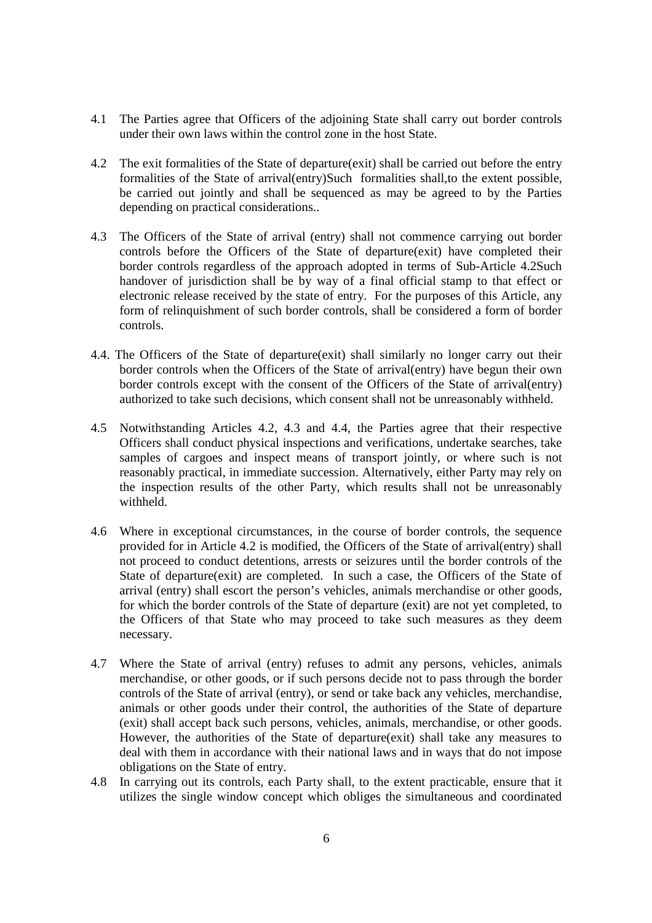- 4.1 The Parties agree that Officers of the adjoining State shall carry out border controls under their own laws within the control zone in the host State.
- 4.2 The exit formalities of the State of departure(exit) shall be carried out before the entry formalities of the State of arrival(entry)Such formalities shall,to the extent possible, be carried out jointly and shall be sequenced as may be agreed to by the Parties depending on practical considerations..
- 4.3 The Officers of the State of arrival (entry) shall not commence carrying out border controls before the Officers of the State of departure(exit) have completed their border controls regardless of the approach adopted in terms of Sub-Article 4.2Such handover of jurisdiction shall be by way of a final official stamp to that effect or electronic release received by the state of entry. For the purposes of this Article, any form of relinquishment of such border controls, shall be considered a form of border controls.
- 4.4. The Officers of the State of departure(exit) shall similarly no longer carry out their border controls when the Officers of the State of arrival(entry) have begun their own border controls except with the consent of the Officers of the State of arrival(entry) authorized to take such decisions, which consent shall not be unreasonably withheld.
- 4.5 Notwithstanding Articles 4.2, 4.3 and 4.4, the Parties agree that their respective Officers shall conduct physical inspections and verifications, undertake searches, take samples of cargoes and inspect means of transport jointly, or where such is not reasonably practical, in immediate succession. Alternatively, either Party may rely on the inspection results of the other Party, which results shall not be unreasonably withheld.
- 4.6 Where in exceptional circumstances, in the course of border controls, the sequence provided for in Article 4.2 is modified, the Officers of the State of arrival(entry) shall not proceed to conduct detentions, arrests or seizures until the border controls of the State of departure(exit) are completed. In such a case, the Officers of the State of arrival (entry) shall escort the person's vehicles, animals merchandise or other goods, for which the border controls of the State of departure (exit) are not yet completed, to the Officers of that State who may proceed to take such measures as they deem necessary.
- 4.7 Where the State of arrival (entry) refuses to admit any persons, vehicles, animals merchandise, or other goods, or if such persons decide not to pass through the border controls of the State of arrival (entry), or send or take back any vehicles, merchandise, animals or other goods under their control, the authorities of the State of departure (exit) shall accept back such persons, vehicles, animals, merchandise, or other goods. However, the authorities of the State of departure(exit) shall take any measures to deal with them in accordance with their national laws and in ways that do not impose obligations on the State of entry.
- 4.8 In carrying out its controls, each Party shall, to the extent practicable, ensure that it utilizes the single window concept which obliges the simultaneous and coordinated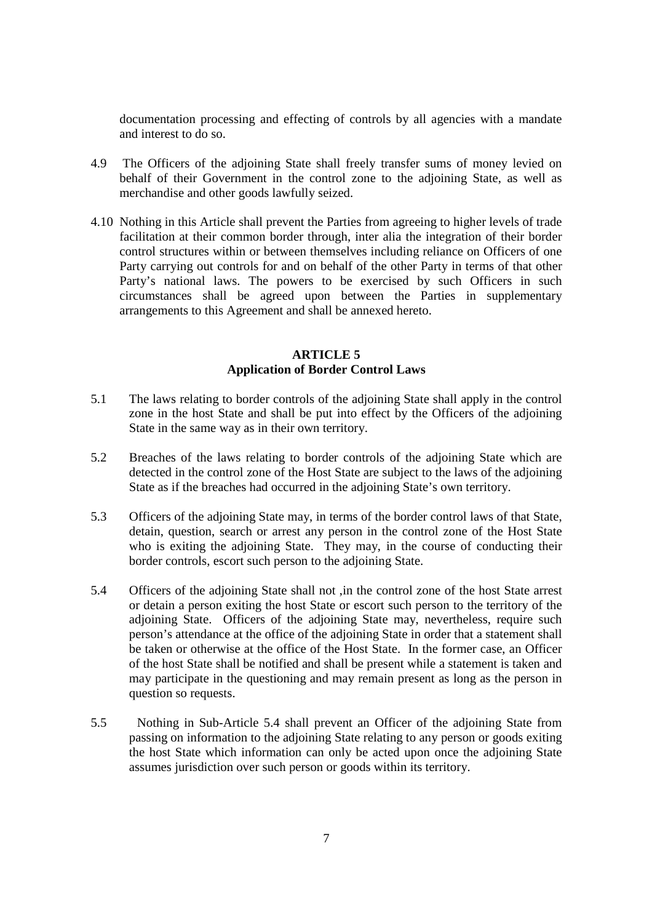documentation processing and effecting of controls by all agencies with a mandate and interest to do so.

- 4.9 The Officers of the adjoining State shall freely transfer sums of money levied on behalf of their Government in the control zone to the adjoining State, as well as merchandise and other goods lawfully seized.
- 4.10 Nothing in this Article shall prevent the Parties from agreeing to higher levels of trade facilitation at their common border through, inter alia the integration of their border control structures within or between themselves including reliance on Officers of one Party carrying out controls for and on behalf of the other Party in terms of that other Party's national laws. The powers to be exercised by such Officers in such circumstances shall be agreed upon between the Parties in supplementary arrangements to this Agreement and shall be annexed hereto.

#### **ARTICLE 5 Application of Border Control Laws**

- 5.1 The laws relating to border controls of the adjoining State shall apply in the control zone in the host State and shall be put into effect by the Officers of the adjoining State in the same way as in their own territory.
- 5.2 Breaches of the laws relating to border controls of the adjoining State which are detected in the control zone of the Host State are subject to the laws of the adjoining State as if the breaches had occurred in the adjoining State's own territory.
- 5.3 Officers of the adjoining State may, in terms of the border control laws of that State, detain, question, search or arrest any person in the control zone of the Host State who is exiting the adjoining State. They may, in the course of conducting their border controls, escort such person to the adjoining State.
- 5.4 Officers of the adjoining State shall not ,in the control zone of the host State arrest or detain a person exiting the host State or escort such person to the territory of the adjoining State. Officers of the adjoining State may, nevertheless, require such person's attendance at the office of the adjoining State in order that a statement shall be taken or otherwise at the office of the Host State. In the former case, an Officer of the host State shall be notified and shall be present while a statement is taken and may participate in the questioning and may remain present as long as the person in question so requests.
- 5.5 Nothing in Sub-Article 5.4 shall prevent an Officer of the adjoining State from passing on information to the adjoining State relating to any person or goods exiting the host State which information can only be acted upon once the adjoining State assumes jurisdiction over such person or goods within its territory.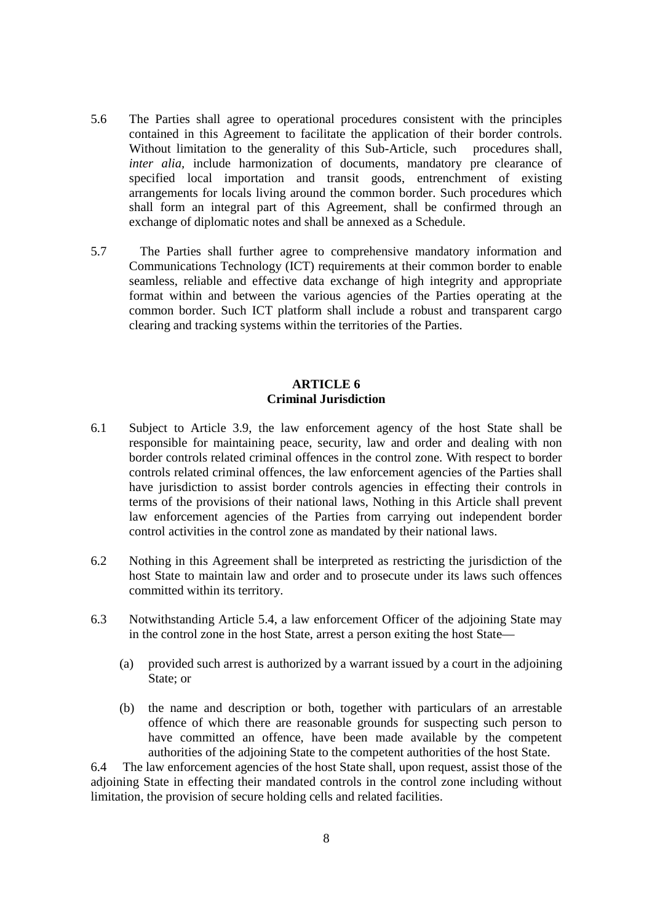- 5.6 The Parties shall agree to operational procedures consistent with the principles contained in this Agreement to facilitate the application of their border controls. Without limitation to the generality of this Sub-Article, such procedures shall, *inter alia, include harmonization of documents, mandatory pre clearance of* specified local importation and transit goods, entrenchment of existing arrangements for locals living around the common border. Such procedures which shall form an integral part of this Agreement, shall be confirmed through an exchange of diplomatic notes and shall be annexed as a Schedule.
- 5.7 The Parties shall further agree to comprehensive mandatory information and Communications Technology (ICT) requirements at their common border to enable seamless, reliable and effective data exchange of high integrity and appropriate format within and between the various agencies of the Parties operating at the common border. Such ICT platform shall include a robust and transparent cargo clearing and tracking systems within the territories of the Parties.

# **ARTICLE 6 Criminal Jurisdiction**

- 6.1 Subject to Article 3.9, the law enforcement agency of the host State shall be responsible for maintaining peace, security, law and order and dealing with non border controls related criminal offences in the control zone. With respect to border controls related criminal offences, the law enforcement agencies of the Parties shall have jurisdiction to assist border controls agencies in effecting their controls in terms of the provisions of their national laws, Nothing in this Article shall prevent law enforcement agencies of the Parties from carrying out independent border control activities in the control zone as mandated by their national laws.
- 6.2 Nothing in this Agreement shall be interpreted as restricting the jurisdiction of the host State to maintain law and order and to prosecute under its laws such offences committed within its territory.
- 6.3 Notwithstanding Article 5.4, a law enforcement Officer of the adjoining State may in the control zone in the host State, arrest a person exiting the host State—
	- (a) provided such arrest is authorized by a warrant issued by a court in the adjoining State; or
	- (b) the name and description or both, together with particulars of an arrestable offence of which there are reasonable grounds for suspecting such person to have committed an offence, have been made available by the competent authorities of the adjoining State to the competent authorities of the host State.

6.4 The law enforcement agencies of the host State shall, upon request, assist those of the adjoining State in effecting their mandated controls in the control zone including without limitation, the provision of secure holding cells and related facilities.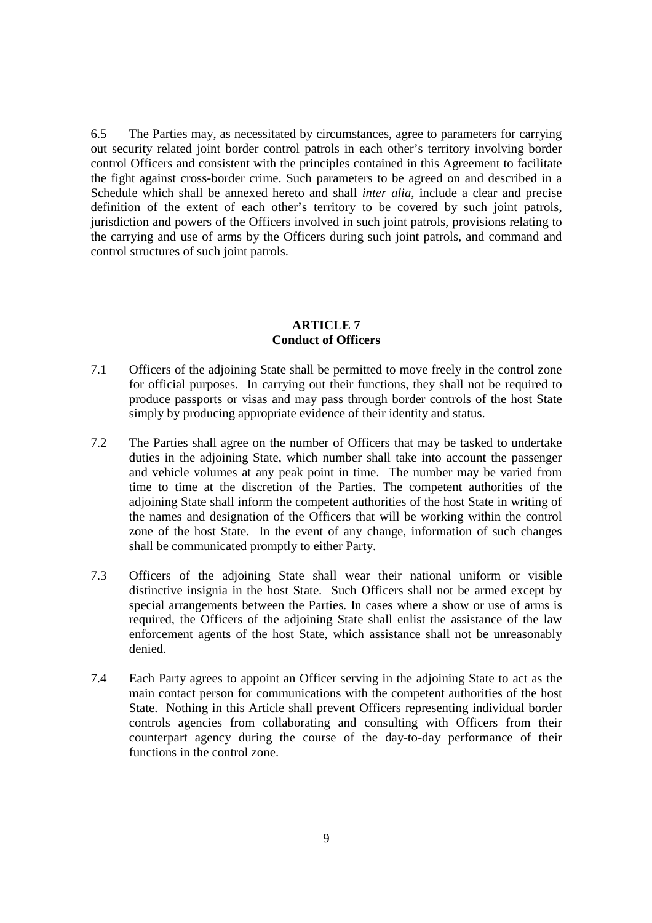6.5 The Parties may, as necessitated by circumstances, agree to parameters for carrying out security related joint border control patrols in each other's territory involving border control Officers and consistent with the principles contained in this Agreement to facilitate the fight against cross-border crime. Such parameters to be agreed on and described in a Schedule which shall be annexed hereto and shall *inter alia*, include a clear and precise definition of the extent of each other's territory to be covered by such joint patrols, jurisdiction and powers of the Officers involved in such joint patrols, provisions relating to the carrying and use of arms by the Officers during such joint patrols, and command and control structures of such joint patrols.

# **ARTICLE 7 Conduct of Officers**

- 7.1 Officers of the adjoining State shall be permitted to move freely in the control zone for official purposes. In carrying out their functions, they shall not be required to produce passports or visas and may pass through border controls of the host State simply by producing appropriate evidence of their identity and status.
- 7.2 The Parties shall agree on the number of Officers that may be tasked to undertake duties in the adjoining State, which number shall take into account the passenger and vehicle volumes at any peak point in time. The number may be varied from time to time at the discretion of the Parties. The competent authorities of the adjoining State shall inform the competent authorities of the host State in writing of the names and designation of the Officers that will be working within the control zone of the host State. In the event of any change, information of such changes shall be communicated promptly to either Party.
- 7.3 Officers of the adjoining State shall wear their national uniform or visible distinctive insignia in the host State. Such Officers shall not be armed except by special arrangements between the Parties. In cases where a show or use of arms is required, the Officers of the adjoining State shall enlist the assistance of the law enforcement agents of the host State, which assistance shall not be unreasonably denied.
- 7.4 Each Party agrees to appoint an Officer serving in the adjoining State to act as the main contact person for communications with the competent authorities of the host State. Nothing in this Article shall prevent Officers representing individual border controls agencies from collaborating and consulting with Officers from their counterpart agency during the course of the day-to-day performance of their functions in the control zone.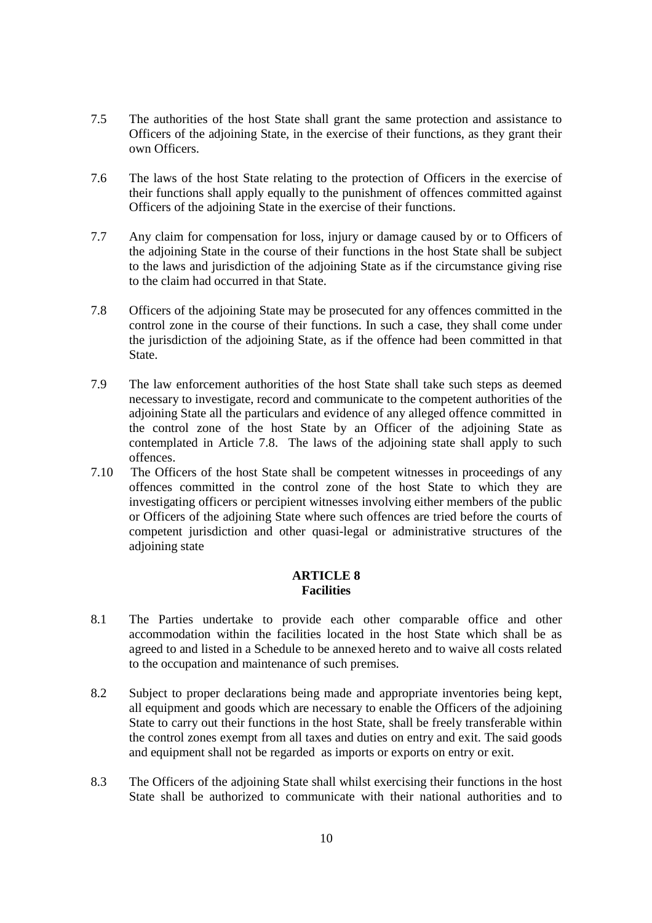- 7.5 The authorities of the host State shall grant the same protection and assistance to Officers of the adjoining State, in the exercise of their functions, as they grant their own Officers.
- 7.6 The laws of the host State relating to the protection of Officers in the exercise of their functions shall apply equally to the punishment of offences committed against Officers of the adjoining State in the exercise of their functions.
- 7.7 Any claim for compensation for loss, injury or damage caused by or to Officers of the adjoining State in the course of their functions in the host State shall be subject to the laws and jurisdiction of the adjoining State as if the circumstance giving rise to the claim had occurred in that State.
- 7.8 Officers of the adjoining State may be prosecuted for any offences committed in the control zone in the course of their functions. In such a case, they shall come under the jurisdiction of the adjoining State, as if the offence had been committed in that State.
- 7.9 The law enforcement authorities of the host State shall take such steps as deemed necessary to investigate, record and communicate to the competent authorities of the adjoining State all the particulars and evidence of any alleged offence committed in the control zone of the host State by an Officer of the adjoining State as contemplated in Article 7.8. The laws of the adjoining state shall apply to such offences.
- 7.10 The Officers of the host State shall be competent witnesses in proceedings of any offences committed in the control zone of the host State to which they are investigating officers or percipient witnesses involving either members of the public or Officers of the adjoining State where such offences are tried before the courts of competent jurisdiction and other quasi-legal or administrative structures of the adjoining state

#### **ARTICLE 8 Facilities**

- 8.1 The Parties undertake to provide each other comparable office and other accommodation within the facilities located in the host State which shall be as agreed to and listed in a Schedule to be annexed hereto and to waive all costs related to the occupation and maintenance of such premises.
- 8.2 Subject to proper declarations being made and appropriate inventories being kept, all equipment and goods which are necessary to enable the Officers of the adjoining State to carry out their functions in the host State, shall be freely transferable within the control zones exempt from all taxes and duties on entry and exit. The said goods and equipment shall not be regarded as imports or exports on entry or exit.
- 8.3 The Officers of the adjoining State shall whilst exercising their functions in the host State shall be authorized to communicate with their national authorities and to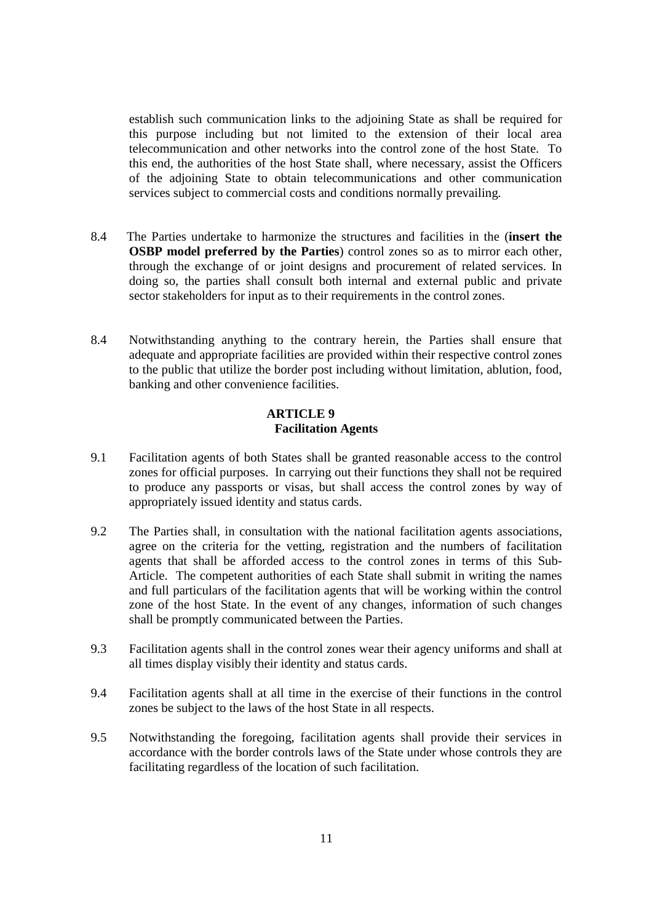establish such communication links to the adjoining State as shall be required for this purpose including but not limited to the extension of their local area telecommunication and other networks into the control zone of the host State. To this end, the authorities of the host State shall, where necessary, assist the Officers of the adjoining State to obtain telecommunications and other communication services subject to commercial costs and conditions normally prevailing.

- 8.4 The Parties undertake to harmonize the structures and facilities in the (**insert the OSBP** model preferred by the Parties) control zones so as to mirror each other, through the exchange of or joint designs and procurement of related services. In doing so, the parties shall consult both internal and external public and private sector stakeholders for input as to their requirements in the control zones.
- 8.4 Notwithstanding anything to the contrary herein, the Parties shall ensure that adequate and appropriate facilities are provided within their respective control zones to the public that utilize the border post including without limitation, ablution, food, banking and other convenience facilities.

### **ARTICLE 9 Facilitation Agents**

- 9.1 Facilitation agents of both States shall be granted reasonable access to the control zones for official purposes. In carrying out their functions they shall not be required to produce any passports or visas, but shall access the control zones by way of appropriately issued identity and status cards.
- 9.2 The Parties shall, in consultation with the national facilitation agents associations, agree on the criteria for the vetting, registration and the numbers of facilitation agents that shall be afforded access to the control zones in terms of this Sub-Article. The competent authorities of each State shall submit in writing the names and full particulars of the facilitation agents that will be working within the control zone of the host State. In the event of any changes, information of such changes shall be promptly communicated between the Parties.
- 9.3 Facilitation agents shall in the control zones wear their agency uniforms and shall at all times display visibly their identity and status cards.
- 9.4 Facilitation agents shall at all time in the exercise of their functions in the control zones be subject to the laws of the host State in all respects.
- 9.5 Notwithstanding the foregoing, facilitation agents shall provide their services in accordance with the border controls laws of the State under whose controls they are facilitating regardless of the location of such facilitation.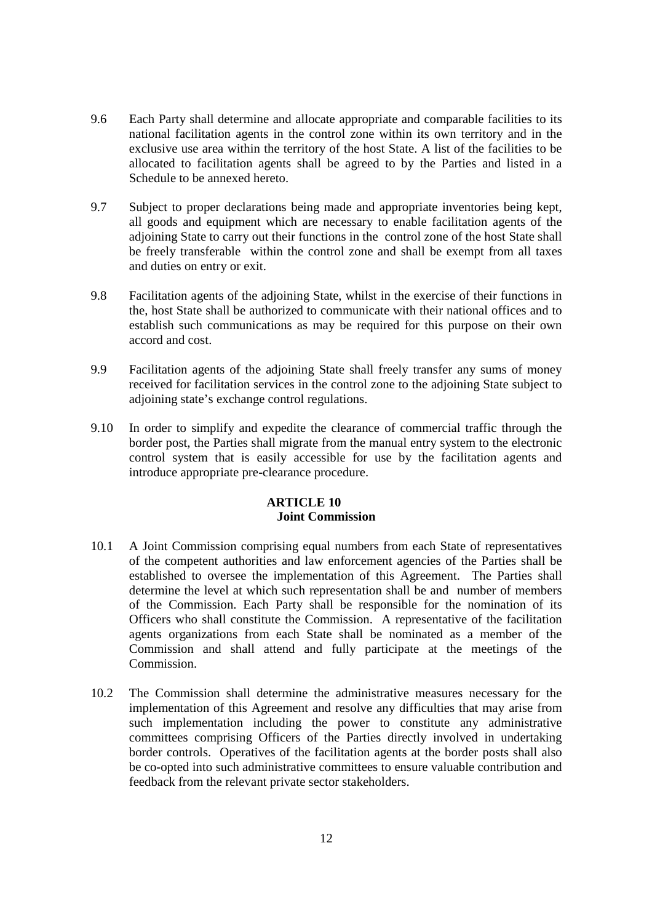- 9.6 Each Party shall determine and allocate appropriate and comparable facilities to its national facilitation agents in the control zone within its own territory and in the exclusive use area within the territory of the host State. A list of the facilities to be allocated to facilitation agents shall be agreed to by the Parties and listed in a Schedule to be annexed hereto.
- 9.7 Subject to proper declarations being made and appropriate inventories being kept, all goods and equipment which are necessary to enable facilitation agents of the adjoining State to carry out their functions in the control zone of the host State shall be freely transferable within the control zone and shall be exempt from all taxes and duties on entry or exit.
- 9.8 Facilitation agents of the adjoining State, whilst in the exercise of their functions in the, host State shall be authorized to communicate with their national offices and to establish such communications as may be required for this purpose on their own accord and cost.
- 9.9 Facilitation agents of the adjoining State shall freely transfer any sums of money received for facilitation services in the control zone to the adjoining State subject to adjoining state's exchange control regulations.
- 9.10 In order to simplify and expedite the clearance of commercial traffic through the border post, the Parties shall migrate from the manual entry system to the electronic control system that is easily accessible for use by the facilitation agents and introduce appropriate pre-clearance procedure.

# **ARTICLE 10 Joint Commission**

- 10.1 A Joint Commission comprising equal numbers from each State of representatives of the competent authorities and law enforcement agencies of the Parties shall be established to oversee the implementation of this Agreement. The Parties shall determine the level at which such representation shall be and number of members of the Commission. Each Party shall be responsible for the nomination of its Officers who shall constitute the Commission. A representative of the facilitation agents organizations from each State shall be nominated as a member of the Commission and shall attend and fully participate at the meetings of the Commission.
- 10.2 The Commission shall determine the administrative measures necessary for the implementation of this Agreement and resolve any difficulties that may arise from such implementation including the power to constitute any administrative committees comprising Officers of the Parties directly involved in undertaking border controls. Operatives of the facilitation agents at the border posts shall also be co-opted into such administrative committees to ensure valuable contribution and feedback from the relevant private sector stakeholders.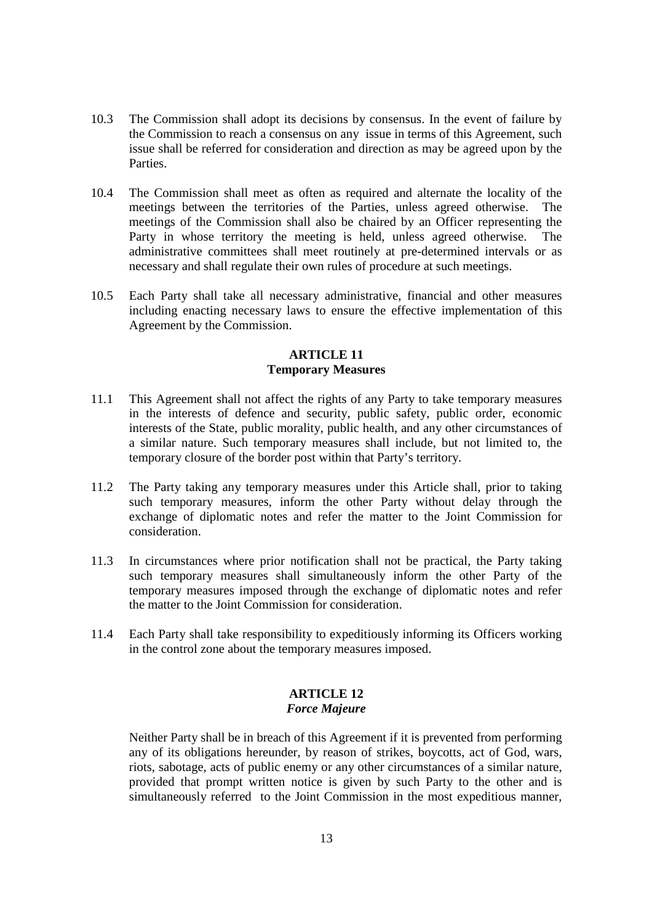- 10.3 The Commission shall adopt its decisions by consensus. In the event of failure by the Commission to reach a consensus on any issue in terms of this Agreement, such issue shall be referred for consideration and direction as may be agreed upon by the Parties.
- 10.4 The Commission shall meet as often as required and alternate the locality of the meetings between the territories of the Parties, unless agreed otherwise. The meetings of the Commission shall also be chaired by an Officer representing the Party in whose territory the meeting is held, unless agreed otherwise. The administrative committees shall meet routinely at pre-determined intervals or as necessary and shall regulate their own rules of procedure at such meetings.
- 10.5 Each Party shall take all necessary administrative, financial and other measures including enacting necessary laws to ensure the effective implementation of this Agreement by the Commission.

#### **ARTICLE 11 Temporary Measures**

- 11.1 This Agreement shall not affect the rights of any Party to take temporary measures in the interests of defence and security, public safety, public order, economic interests of the State, public morality, public health, and any other circumstances of a similar nature. Such temporary measures shall include, but not limited to, the temporary closure of the border post within that Party's territory.
- 11.2 The Party taking any temporary measures under this Article shall, prior to taking such temporary measures, inform the other Party without delay through the exchange of diplomatic notes and refer the matter to the Joint Commission for consideration.
- 11.3 In circumstances where prior notification shall not be practical, the Party taking such temporary measures shall simultaneously inform the other Party of the temporary measures imposed through the exchange of diplomatic notes and refer the matter to the Joint Commission for consideration.
- 11.4 Each Party shall take responsibility to expeditiously informing its Officers working in the control zone about the temporary measures imposed.

# **ARTICLE 12**  *Force Majeure*

Neither Party shall be in breach of this Agreement if it is prevented from performing any of its obligations hereunder, by reason of strikes, boycotts, act of God, wars, riots, sabotage, acts of public enemy or any other circumstances of a similar nature, provided that prompt written notice is given by such Party to the other and is simultaneously referred to the Joint Commission in the most expeditious manner,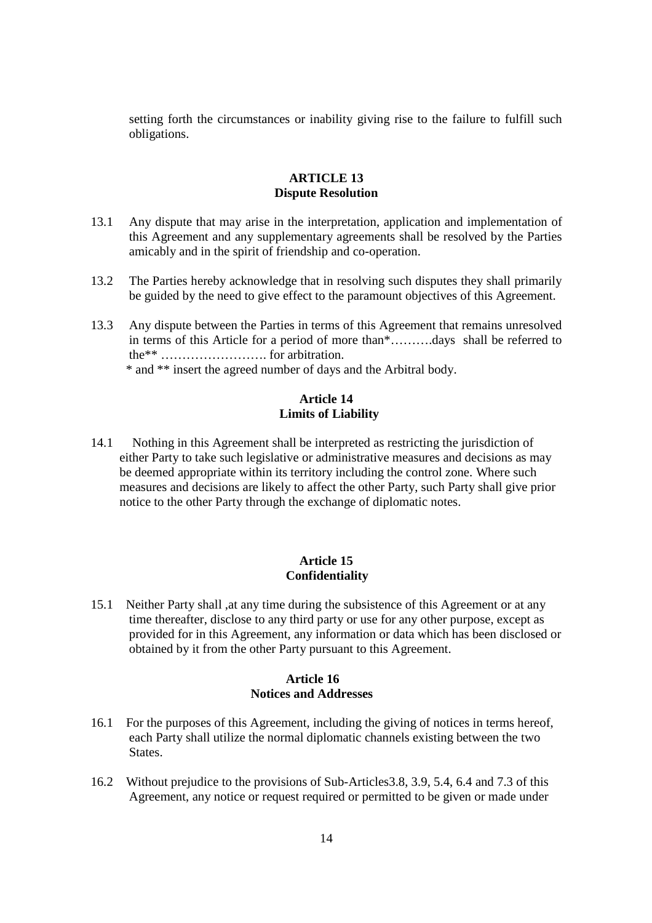setting forth the circumstances or inability giving rise to the failure to fulfill such obligations.

#### **ARTICLE 13 Dispute Resolution**

- 13.1 Any dispute that may arise in the interpretation, application and implementation of this Agreement and any supplementary agreements shall be resolved by the Parties amicably and in the spirit of friendship and co-operation.
- 13.2 The Parties hereby acknowledge that in resolving such disputes they shall primarily be guided by the need to give effect to the paramount objectives of this Agreement.
- 13.3 Any dispute between the Parties in terms of this Agreement that remains unresolved in terms of this Article for a period of more than\*……….days shall be referred to the\*\* ……………………. for arbitration. \* and \*\* insert the agreed number of days and the Arbitral body.

# **Article 14 Limits of Liability**

14.1Nothing in this Agreement shall be interpreted as restricting the jurisdiction of either Party to take such legislative or administrative measures and decisions as may be deemed appropriate within its territory including the control zone. Where such measures and decisions are likely to affect the other Party, such Party shall give prior notice to the other Party through the exchange of diplomatic notes.

#### **Article 15 Confidentiality**

15.1Neither Party shall ,at any time during the subsistence of this Agreement or at any time thereafter, disclose to any third party or use for any other purpose, except as provided for in this Agreement, any information or data which has been disclosed or obtained by it from the other Party pursuant to this Agreement.

### **Article 16 Notices and Addresses**

- 16.1For the purposes of this Agreement, including the giving of notices in terms hereof, each Party shall utilize the normal diplomatic channels existing between the two **States**
- 16.2Without prejudice to the provisions of Sub-Articles3.8, 3.9, 5.4, 6.4 and 7.3 of this Agreement, any notice or request required or permitted to be given or made under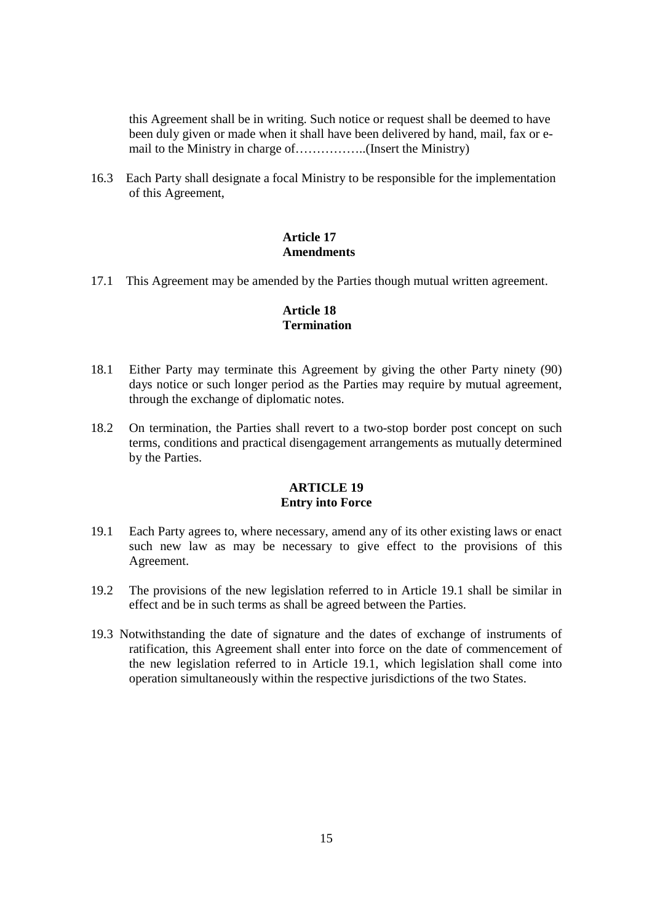this Agreement shall be in writing. Such notice or request shall be deemed to have been duly given or made when it shall have been delivered by hand, mail, fax or email to the Ministry in charge of……………..(Insert the Ministry)

16.3Each Party shall designate a focal Ministry to be responsible for the implementation of this Agreement,

#### **Article 17 Amendments**

17.1This Agreement may be amended by the Parties though mutual written agreement.

### **Article 18 Termination**

- 18.1 Either Party may terminate this Agreement by giving the other Party ninety (90) days notice or such longer period as the Parties may require by mutual agreement, through the exchange of diplomatic notes.
- 18.2 On termination, the Parties shall revert to a two-stop border post concept on such terms, conditions and practical disengagement arrangements as mutually determined by the Parties.

#### **ARTICLE 19 Entry into Force**

- 19.1 Each Party agrees to, where necessary, amend any of its other existing laws or enact such new law as may be necessary to give effect to the provisions of this Agreement.
- 19.2 The provisions of the new legislation referred to in Article 19.1 shall be similar in effect and be in such terms as shall be agreed between the Parties.
- 19.3 Notwithstanding the date of signature and the dates of exchange of instruments of ratification, this Agreement shall enter into force on the date of commencement of the new legislation referred to in Article 19.1, which legislation shall come into operation simultaneously within the respective jurisdictions of the two States.